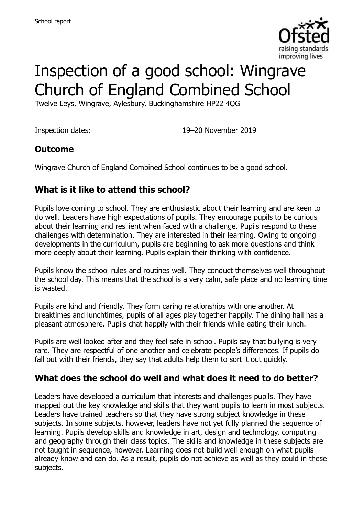

# Inspection of a good school: Wingrave Church of England Combined School

Twelve Leys, Wingrave, Aylesbury, Buckinghamshire HP22 4QG

Inspection dates: 19–20 November 2019

#### **Outcome**

Wingrave Church of England Combined School continues to be a good school.

# **What is it like to attend this school?**

Pupils love coming to school. They are enthusiastic about their learning and are keen to do well. Leaders have high expectations of pupils. They encourage pupils to be curious about their learning and resilient when faced with a challenge. Pupils respond to these challenges with determination. They are interested in their learning. Owing to ongoing developments in the curriculum, pupils are beginning to ask more questions and think more deeply about their learning. Pupils explain their thinking with confidence.

Pupils know the school rules and routines well. They conduct themselves well throughout the school day. This means that the school is a very calm, safe place and no learning time is wasted.

Pupils are kind and friendly. They form caring relationships with one another. At breaktimes and lunchtimes, pupils of all ages play together happily. The dining hall has a pleasant atmosphere. Pupils chat happily with their friends while eating their lunch.

Pupils are well looked after and they feel safe in school. Pupils say that bullying is very rare. They are respectful of one another and celebrate people's differences. If pupils do fall out with their friends, they say that adults help them to sort it out quickly.

#### **What does the school do well and what does it need to do better?**

Leaders have developed a curriculum that interests and challenges pupils. They have mapped out the key knowledge and skills that they want pupils to learn in most subjects. Leaders have trained teachers so that they have strong subject knowledge in these subjects. In some subjects, however, leaders have not yet fully planned the sequence of learning. Pupils develop skills and knowledge in art, design and technology, computing and geography through their class topics. The skills and knowledge in these subjects are not taught in sequence, however. Learning does not build well enough on what pupils already know and can do. As a result, pupils do not achieve as well as they could in these subjects.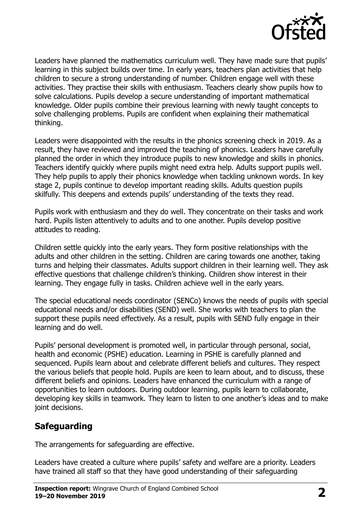

Leaders have planned the mathematics curriculum well. They have made sure that pupils' learning in this subject builds over time. In early years, teachers plan activities that help children to secure a strong understanding of number. Children engage well with these activities. They practise their skills with enthusiasm. Teachers clearly show pupils how to solve calculations. Pupils develop a secure understanding of important mathematical knowledge. Older pupils combine their previous learning with newly taught concepts to solve challenging problems. Pupils are confident when explaining their mathematical thinking.

Leaders were disappointed with the results in the phonics screening check in 2019. As a result, they have reviewed and improved the teaching of phonics. Leaders have carefully planned the order in which they introduce pupils to new knowledge and skills in phonics. Teachers identify quickly where pupils might need extra help. Adults support pupils well. They help pupils to apply their phonics knowledge when tackling unknown words. In key stage 2, pupils continue to develop important reading skills. Adults question pupils skilfully. This deepens and extends pupils' understanding of the texts they read.

Pupils work with enthusiasm and they do well. They concentrate on their tasks and work hard. Pupils listen attentively to adults and to one another. Pupils develop positive attitudes to reading.

Children settle quickly into the early years. They form positive relationships with the adults and other children in the setting. Children are caring towards one another, taking turns and helping their classmates. Adults support children in their learning well. They ask effective questions that challenge children's thinking. Children show interest in their learning. They engage fully in tasks. Children achieve well in the early years.

The special educational needs coordinator (SENCo) knows the needs of pupils with special educational needs and/or disabilities (SEND) well. She works with teachers to plan the support these pupils need effectively. As a result, pupils with SEND fully engage in their learning and do well.

Pupils' personal development is promoted well, in particular through personal, social, health and economic (PSHE) education. Learning in PSHE is carefully planned and sequenced. Pupils learn about and celebrate different beliefs and cultures. They respect the various beliefs that people hold. Pupils are keen to learn about, and to discuss, these different beliefs and opinions. Leaders have enhanced the curriculum with a range of opportunities to learn outdoors. During outdoor learning, pupils learn to collaborate, developing key skills in teamwork. They learn to listen to one another's ideas and to make joint decisions.

# **Safeguarding**

The arrangements for safeguarding are effective.

Leaders have created a culture where pupils' safety and welfare are a priority. Leaders have trained all staff so that they have good understanding of their safeguarding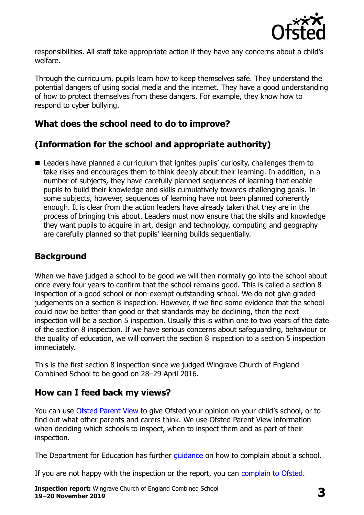

responsibilities. All staff take appropriate action if they have any concerns about a child's welfare.

Through the curriculum, pupils learn how to keep themselves safe. They understand the potential dangers of using social media and the internet. They have a good understanding of how to protect themselves from these dangers. For example, they know how to respond to cyber bullying.

#### **What does the school need to do to improve?**

# **(Information for the school and appropriate authority)**

■ Leaders have planned a curriculum that ignites pupils' curiosity, challenges them to take risks and encourages them to think deeply about their learning. In addition, in a number of subjects, they have carefully planned sequences of learning that enable pupils to build their knowledge and skills cumulatively towards challenging goals. In some subjects, however, sequences of learning have not been planned coherently enough. It is clear from the action leaders have already taken that they are in the process of bringing this about. Leaders must now ensure that the skills and knowledge they want pupils to acquire in art, design and technology, computing and geography are carefully planned so that pupils' learning builds sequentially.

#### **Background**

When we have judged a school to be good we will then normally go into the school about once every four years to confirm that the school remains good. This is called a section 8 inspection of a good school or non-exempt outstanding school. We do not give graded judgements on a section 8 inspection. However, if we find some evidence that the school could now be better than good or that standards may be declining, then the next inspection will be a section 5 inspection. Usually this is within one to two years of the date of the section 8 inspection. If we have serious concerns about safeguarding, behaviour or the quality of education, we will convert the section 8 inspection to a section 5 inspection immediately.

This is the first section 8 inspection since we judged Wingrave Church of England Combined School to be good on 28–29 April 2016.

#### **How can I feed back my views?**

You can use [Ofsted Parent View](https://parentview.ofsted.gov.uk/) to give Ofsted your opinion on your child's school, or to find out what other parents and carers think. We use Ofsted Parent View information when deciding which schools to inspect, when to inspect them and as part of their inspection.

The Department for Education has further quidance on how to complain about a school.

If you are not happy with the inspection or the report, you can [complain to Ofsted.](https://www.gov.uk/complain-ofsted-report)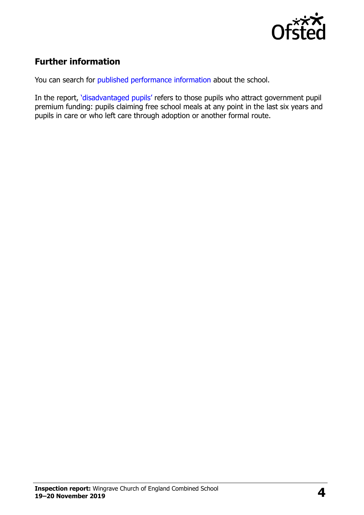

# **Further information**

You can search for [published performance information](http://www.compare-school-performance.service.gov.uk/) about the school.

In the report, '[disadvantaged pupils](http://www.gov.uk/guidance/pupil-premium-information-for-schools-and-alternative-provision-settings)' refers to those pupils who attract government pupil premium funding: pupils claiming free school meals at any point in the last six years and pupils in care or who left care through adoption or another formal route.

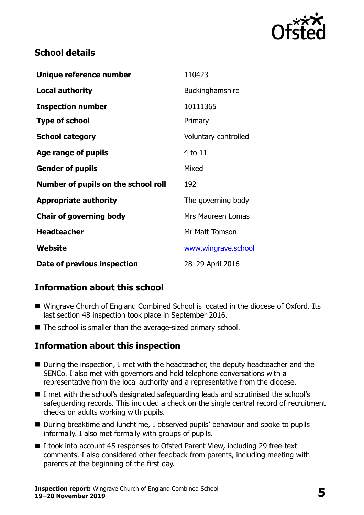

#### **School details**

| Unique reference number             | 110423                   |
|-------------------------------------|--------------------------|
| <b>Local authority</b>              | <b>Buckinghamshire</b>   |
| <b>Inspection number</b>            | 10111365                 |
| <b>Type of school</b>               | Primary                  |
| <b>School category</b>              | Voluntary controlled     |
| Age range of pupils                 | 4 to 11                  |
| <b>Gender of pupils</b>             | Mixed                    |
| Number of pupils on the school roll | 192                      |
| <b>Appropriate authority</b>        | The governing body       |
| <b>Chair of governing body</b>      | <b>Mrs Maureen Lomas</b> |
| <b>Headteacher</b>                  | Mr Matt Tomson           |
| Website                             | www.wingrave.school      |
| Date of previous inspection         | 28-29 April 2016         |

# **Information about this school**

- Wingrave Church of England Combined School is located in the diocese of Oxford. Its last section 48 inspection took place in September 2016.
- The school is smaller than the average-sized primary school.

#### **Information about this inspection**

- During the inspection, I met with the headteacher, the deputy headteacher and the SENCo. I also met with governors and held telephone conversations with a representative from the local authority and a representative from the diocese.
- I met with the school's designated safeguarding leads and scrutinised the school's safeguarding records. This included a check on the single central record of recruitment checks on adults working with pupils.
- During breaktime and lunchtime, I observed pupils' behaviour and spoke to pupils informally. I also met formally with groups of pupils.
- I took into account 45 responses to Ofsted Parent View, including 29 free-text comments. I also considered other feedback from parents, including meeting with parents at the beginning of the first day.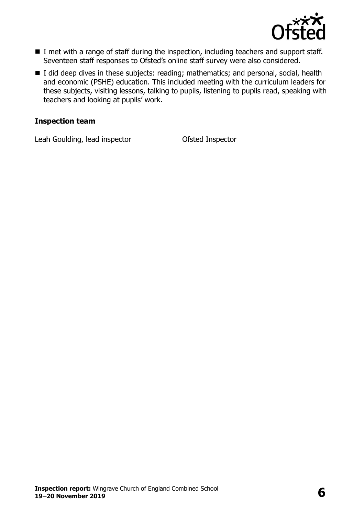

- I met with a range of staff during the inspection, including teachers and support staff. Seventeen staff responses to Ofsted's online staff survey were also considered.
- I did deep dives in these subjects: reading; mathematics; and personal, social, health and economic (PSHE) education. This included meeting with the curriculum leaders for these subjects, visiting lessons, talking to pupils, listening to pupils read, speaking with teachers and looking at pupils' work.

#### **Inspection team**

Leah Goulding, lead inspector Ofsted Inspector